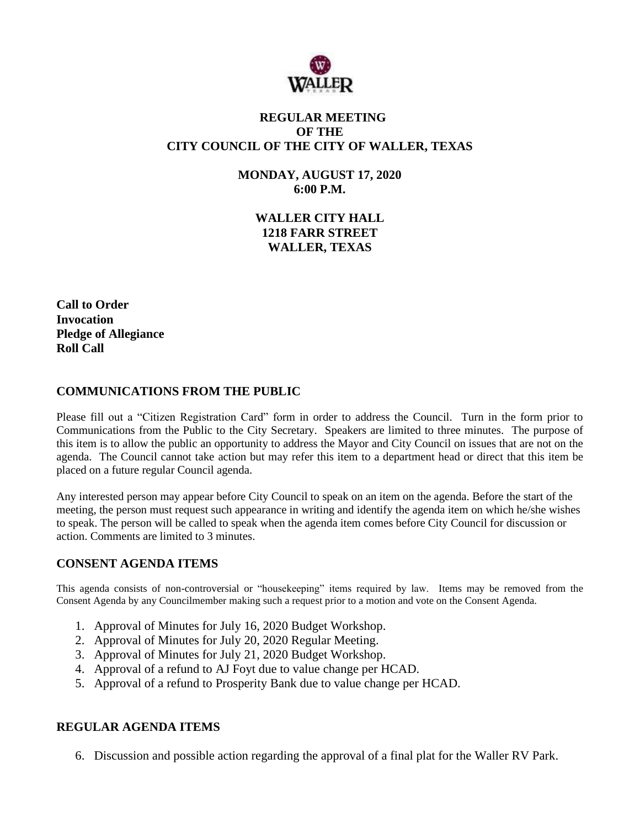

## **REGULAR MEETING OF THE CITY COUNCIL OF THE CITY OF WALLER, TEXAS**

**MONDAY, AUGUST 17, 2020 6:00 P.M.**

> **WALLER CITY HALL 1218 FARR STREET WALLER, TEXAS**

**Call to Order Invocation Pledge of Allegiance Roll Call**

### **COMMUNICATIONS FROM THE PUBLIC**

Please fill out a "Citizen Registration Card" form in order to address the Council. Turn in the form prior to Communications from the Public to the City Secretary. Speakers are limited to three minutes. The purpose of this item is to allow the public an opportunity to address the Mayor and City Council on issues that are not on the agenda. The Council cannot take action but may refer this item to a department head or direct that this item be placed on a future regular Council agenda.

Any interested person may appear before City Council to speak on an item on the agenda. Before the start of the meeting, the person must request such appearance in writing and identify the agenda item on which he/she wishes to speak. The person will be called to speak when the agenda item comes before City Council for discussion or action. Comments are limited to 3 minutes.

# **CONSENT AGENDA ITEMS**

This agenda consists of non-controversial or "housekeeping" items required by law. Items may be removed from the Consent Agenda by any Councilmember making such a request prior to a motion and vote on the Consent Agenda.

- 1. Approval of Minutes for July 16, 2020 Budget Workshop.
- 2. Approval of Minutes for July 20, 2020 Regular Meeting.
- 3. Approval of Minutes for July 21, 2020 Budget Workshop.
- 4. Approval of a refund to AJ Foyt due to value change per HCAD.
- 5. Approval of a refund to Prosperity Bank due to value change per HCAD.

### **REGULAR AGENDA ITEMS**

6. Discussion and possible action regarding the approval of a final plat for the Waller RV Park.